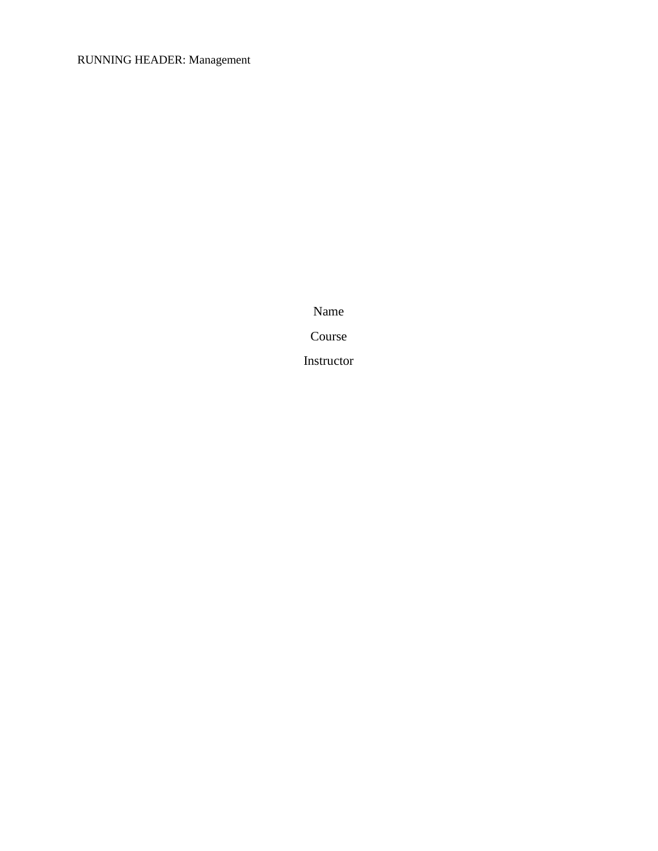## RUNNING HEADER: Management

Name

Course

Instructor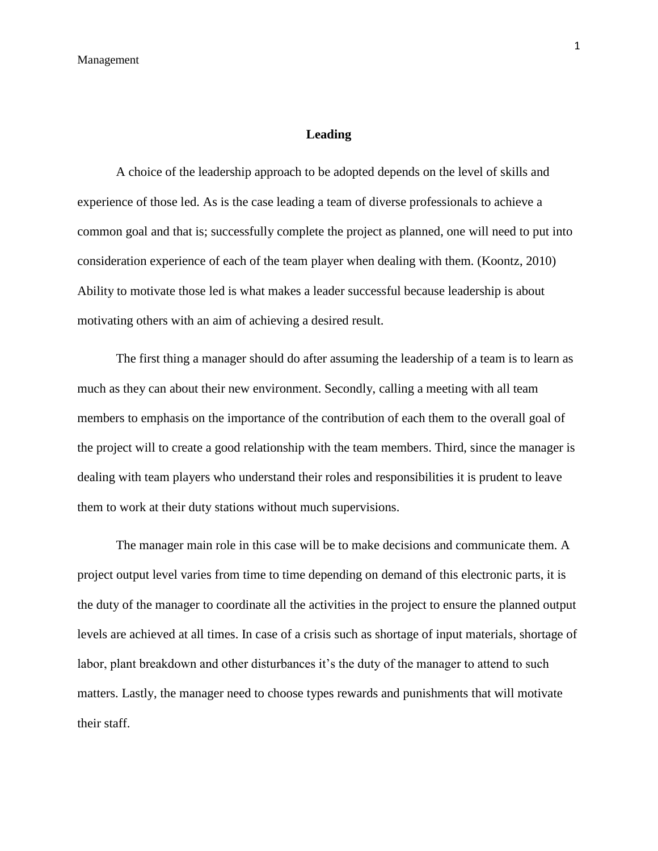## **Leading**

A choice of the leadership approach to be adopted depends on the level of skills and experience of those led. As is the case leading a team of diverse professionals to achieve a common goal and that is; successfully complete the project as planned, one will need to put into consideration experience of each of the team player when dealing with them. (Koontz, 2010) Ability to motivate those led is what makes a leader successful because leadership is about motivating others with an aim of achieving a desired result.

The first thing a manager should do after assuming the leadership of a team is to learn as much as they can about their new environment. Secondly, calling a meeting with all team members to emphasis on the importance of the contribution of each them to the overall goal of the project will to create a good relationship with the team members. Third, since the manager is dealing with team players who understand their roles and responsibilities it is prudent to leave them to work at their duty stations without much supervisions.

The manager main role in this case will be to make decisions and communicate them. A project output level varies from time to time depending on demand of this electronic parts, it is the duty of the manager to coordinate all the activities in the project to ensure the planned output levels are achieved at all times. In case of a crisis such as shortage of input materials, shortage of labor, plant breakdown and other disturbances it's the duty of the manager to attend to such matters. Lastly, the manager need to choose types rewards and punishments that will motivate their staff.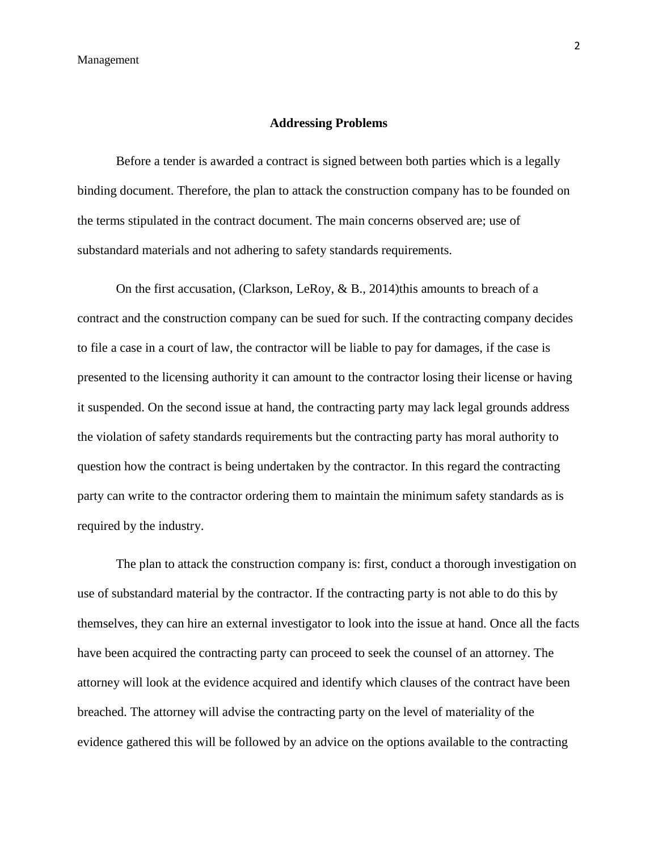## **Addressing Problems**

Before a tender is awarded a contract is signed between both parties which is a legally binding document. Therefore, the plan to attack the construction company has to be founded on the terms stipulated in the contract document. The main concerns observed are; use of substandard materials and not adhering to safety standards requirements.

On the first accusation, (Clarkson, LeRoy,  $\&$  B., 2014)this amounts to breach of a contract and the construction company can be sued for such. If the contracting company decides to file a case in a court of law, the contractor will be liable to pay for damages, if the case is presented to the licensing authority it can amount to the contractor losing their license or having it suspended. On the second issue at hand, the contracting party may lack legal grounds address the violation of safety standards requirements but the contracting party has moral authority to question how the contract is being undertaken by the contractor. In this regard the contracting party can write to the contractor ordering them to maintain the minimum safety standards as is required by the industry.

The plan to attack the construction company is: first, conduct a thorough investigation on use of substandard material by the contractor. If the contracting party is not able to do this by themselves, they can hire an external investigator to look into the issue at hand. Once all the facts have been acquired the contracting party can proceed to seek the counsel of an attorney. The attorney will look at the evidence acquired and identify which clauses of the contract have been breached. The attorney will advise the contracting party on the level of materiality of the evidence gathered this will be followed by an advice on the options available to the contracting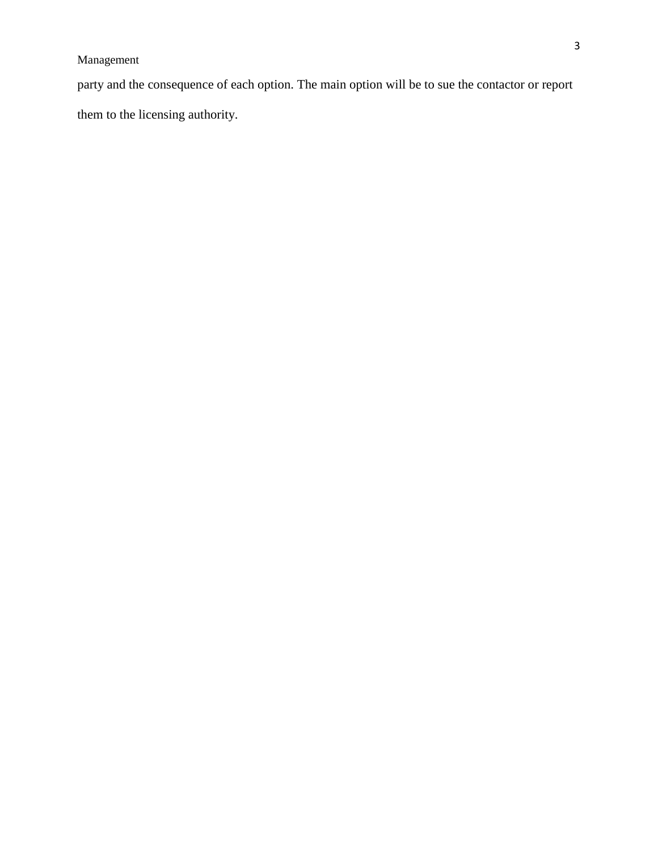party and the consequence of each option. The main option will be to sue the contactor or report them to the licensing authority.